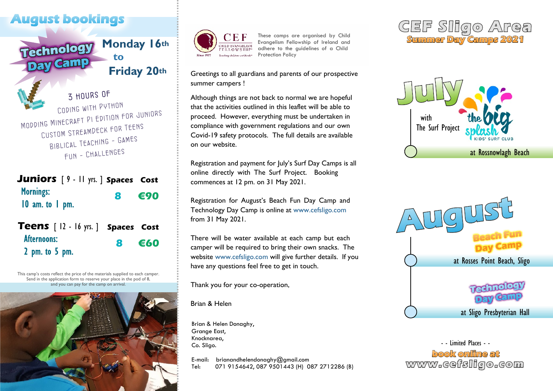# **August bookings**



3 HOURS OF Coding with Python Modding Minecraft Pi Edition for Juniors Custom StreamDeck for Teens Biblical Teaching - Games Fun - Challenges

#### **Juniors** [ 9 - 11 yrs. ] **Spaces Cost Mornings: 8 €90**  $10$  am. to  $1$  pm.

| <b>Teens</b> [12 - 16 yrs. ] Spaces Cost |                 |
|------------------------------------------|-----------------|
| Afternoons:                              | $8 \epsilon$ 60 |
| $2$ pm. to $5$ pm.                       |                 |

This camp's costs reflect the price of the materials supplied to each camper. Send in the application form to reserve your place in the pod of 8, and you can pay for the camp on arrival.





These camps are organised by Child Evangelism Fellowship of Ireland and adhere to the guidelines of a Child Protection Policy

Greetings to all guardians and parents of our prospective summer campers !

Although things are not back to normal we are hopeful that the activities outlined in this leaflet will be able to proceed. However, everything must be undertaken in compliance with government regulations and our own Covid-19 safety protocols. The full details are available on our website.

Registration and payment for July's Surf Day Camps is all online directly with The Surf Project. Booking commences at 12 pm. on 31 May 2021.

Registration for August's Beach Fun Day Camp and Technology Day Camp is online at www.cefsligo.com from 31 May 2021.

There will be water available at each camp but each camper will be required to bring their own snacks. The website www.cefsligo.com will give further details. If you have any questions feel free to get in touch.

Thank you for your co-operation,

Brian & Helen

Brian & Helen Donaghy, Grange East, Knocknarea, Co. Sligo.

E-mail: brianandhelendonaghy@gmail.com Tel: 071 9154642, 087 9501443 (H) 087 2712286 (B)







- - Limited Places - book online at www.cefsligo.com